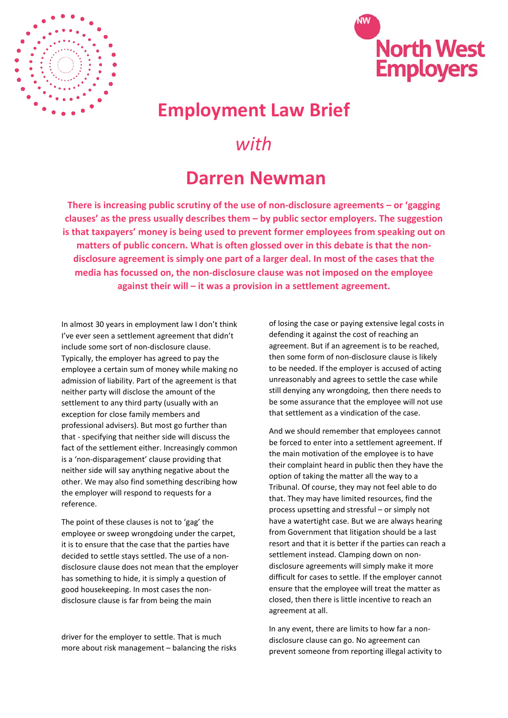



## **Employment Law Brief**

## *with*

## **Darren Newman**

**There is increasing public scrutiny of the use of non-disclosure agreements – or 'gagging clauses' as the press usually describes them – by public sector employers. The suggestion is that taxpayers' money is being used to prevent former employees from speaking out on matters of public concern. What is often glossed over in this debate is that the nondisclosure agreement is simply one part of a larger deal. In most of the cases that the media has focussed on, the non-disclosure clause was not imposed on the employee against their will – it was a provision in a settlement agreement.**

In almost 30 years in employment law I don't think I've ever seen a settlement agreement that didn't include some sort of non-disclosure clause. Typically, the employer has agreed to pay the employee a certain sum of money while making no admission of liability. Part of the agreement is that neither party will disclose the amount of the settlement to any third party (usually with an exception for close family members and professional advisers). But most go further than that - specifying that neither side will discuss the fact of the settlement either. Increasingly common is a 'non-disparagement' clause providing that neither side will say anything negative about the other. We may also find something describing how the employer will respond to requests for a reference.

The point of these clauses is not to 'gag' the employee or sweep wrongdoing under the carpet, it is to ensure that the case that the parties have decided to settle stays settled. The use of a nondisclosure clause does not mean that the employer has something to hide, it is simply a question of good housekeeping. In most cases the nondisclosure clause is far from being the main

driver for the employer to settle. That is much more about risk management – balancing the risks

of losing the case or paying extensive legal costs in defending it against the cost of reaching an agreement. But if an agreement is to be reached, then some form of non-disclosure clause is likely to be needed. If the employer is accused of acting unreasonably and agrees to settle the case while still denying any wrongdoing, then there needs to be some assurance that the employee will not use that settlement as a vindication of the case.

And we should remember that employees cannot be forced to enter into a settlement agreement. If the main motivation of the employee is to have their complaint heard in public then they have the option of taking the matter all the way to a Tribunal. Of course, they may not feel able to do that. They may have limited resources, find the process upsetting and stressful – or simply not have a watertight case. But we are always hearing from Government that litigation should be a last resort and that it is better if the parties can reach a settlement instead. Clamping down on nondisclosure agreements will simply make it more difficult for cases to settle. If the employer cannot ensure that the employee will treat the matter as closed, then there is little incentive to reach an agreement at all.

In any event, there are limits to how far a nondisclosure clause can go. No agreement can prevent someone from reporting illegal activity to